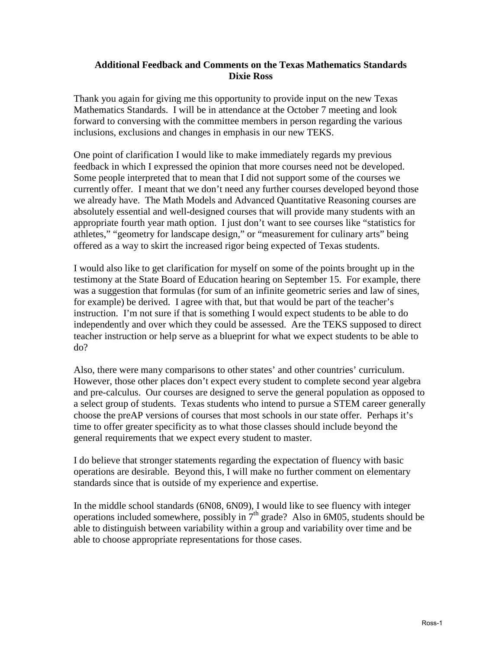## **Additional Feedback and Comments on the Texas Mathematics Standards Dixie Ross**

Thank you again for giving me this opportunity to provide input on the new Texas Mathematics Standards. I will be in attendance at the October 7 meeting and look forward to conversing with the committee members in person regarding the various inclusions, exclusions and changes in emphasis in our new TEKS.

One point of clarification I would like to make immediately regards my previous feedback in which I expressed the opinion that more courses need not be developed. Some people interpreted that to mean that I did not support some of the courses we currently offer. I meant that we don't need any further courses developed beyond those we already have. The Math Models and Advanced Quantitative Reasoning courses are absolutely essential and well-designed courses that will provide many students with an appropriate fourth year math option. I just don't want to see courses like "statistics for athletes," "geometry for landscape design," or "measurement for culinary arts" being offered as a way to skirt the increased rigor being expected of Texas students.

I would also like to get clarification for myself on some of the points brought up in the testimony at the State Board of Education hearing on September 15. For example, there was a suggestion that formulas (for sum of an infinite geometric series and law of sines, for example) be derived. I agree with that, but that would be part of the teacher's instruction. I'm not sure if that is something I would expect students to be able to do independently and over which they could be assessed. Are the TEKS supposed to direct teacher instruction or help serve as a blueprint for what we expect students to be able to do?

Also, there were many comparisons to other states' and other countries' curriculum. However, those other places don't expect every student to complete second year algebra and pre-calculus. Our courses are designed to serve the general population as opposed to a select group of students. Texas students who intend to pursue a STEM career generally choose the preAP versions of courses that most schools in our state offer. Perhaps it's time to offer greater specificity as to what those classes should include beyond the general requirements that we expect every student to master.

I do believe that stronger statements regarding the expectation of fluency with basic operations are desirable. Beyond this, I will make no further comment on elementary standards since that is outside of my experience and expertise.

In the middle school standards (6N08, 6N09), I would like to see fluency with integer operations included somewhere, possibly in  $7<sup>th</sup>$  grade? Also in 6M05, students should be able to distinguish between variability within a group and variability over time and be able to choose appropriate representations for those cases.